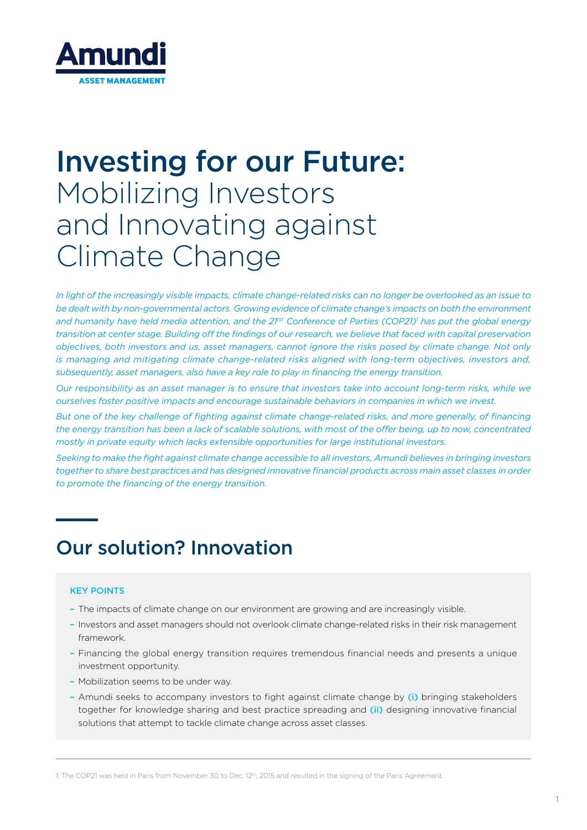

# Investing for our Future: Mobilizing Investors and Innovating against Climate Change

*In light of the increasingly visible impacts, climate change-related risks can no longer be overlooked as an issue to be dealt with by non-governmental actors. Growing evidence of climate change's impacts on both the environment and humanity have held media attention, and the 21rst Conference of Parties (COP21)1 has put the global energy transition at center stage. Building off the findings of our research, we believe that faced with capital preservation objectives, both investors and us, asset managers, cannot ignore the risks posed by climate change. Not only is managing and mitigating climate change-related risks aligned with long-term objectives, investors and, subsequently, asset managers, also have a key role to play in financing the energy transition.*

*Our responsibility as an asset manager is to ensure that investors take into account long-term risks, while we ourselves foster positive impacts and encourage sustainable behaviors in companies in which we invest.* 

*But one of the key challenge of fighting against climate change-related risks, and more generally, of financing the energy transition has been a lack of scalable solutions, with most of the offer being, up to now, concentrated mostly in private equity which lacks extensible opportunities for large institutional investors.*

*Seeking to make the fight against climate change accessible to all investors, Amundi believes in bringing investors together to share best practices and has designed innovative financial products across main asset classes in order to promote the financing of the energy transition.*

# Our solution? Innovation

#### KEY POINTS

- The impacts of climate change on our environment are growing and are increasingly visible.
- Investors and asset managers should not overlook climate change-related risks in their risk management framework.
- Financing the global energy transition requires tremendous financial needs and presents a unique investment opportunity.
- Mobilization seems to be under way.
- Amundi seeks to accompany investors to fight against climate change by (i) bringing stakeholders together for knowledge sharing and best practice spreading and (ii) designing innovative financial solutions that attempt to tackle climate change across asset classes.

1. The COP21 was held in Paris from November 30 to Dec. 12th, 2015 and resulted in the signing of the Paris Agreement.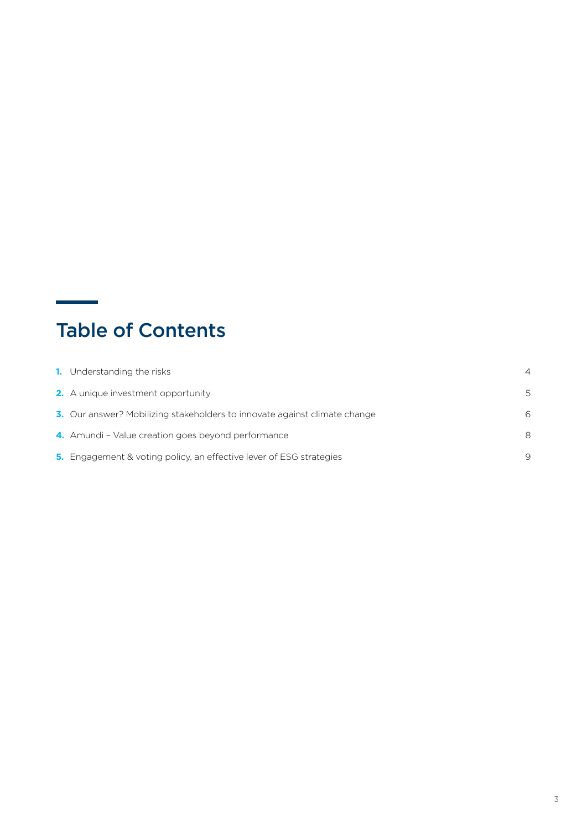# Table of Contents

| <b>1.</b> Understanding the risks                                          | 4 |
|----------------------------------------------------------------------------|---|
| <b>2.</b> A unique investment opportunity                                  | 5 |
| 3. Our answer? Mobilizing stakeholders to innovate against climate change  | 6 |
| 4. Amundi - Value creation goes beyond performance                         | ε |
| <b>5.</b> Engagement & voting policy, an effective lever of ESG strategies | g |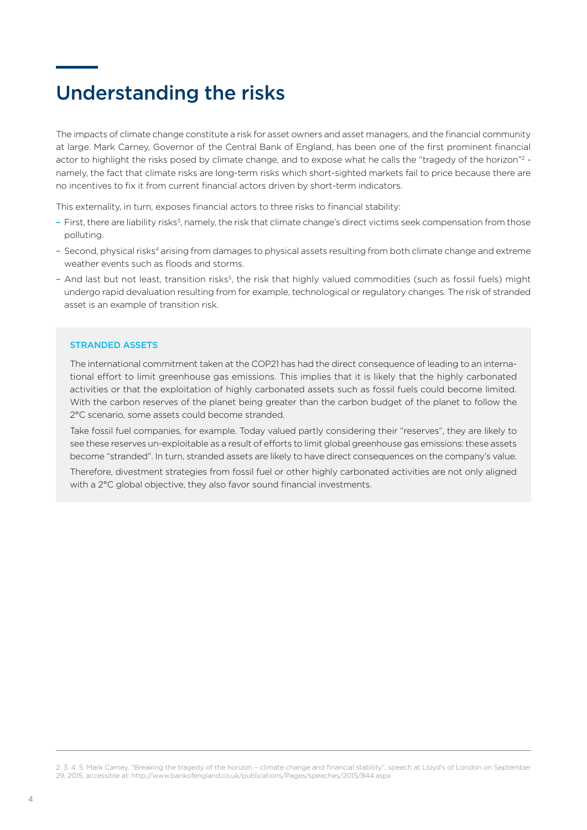### Understanding the risks

The impacts of climate change constitute a risk for asset owners and asset managers, and the financial community at large. Mark Carney, Governor of the Central Bank of England, has been one of the first prominent financial actor to highlight the risks posed by climate change, and to expose what he calls the "tragedy of the horizon"<sup>2</sup> namely, the fact that climate risks are long-term risks which short-sighted markets fail to price because there are no incentives to fix it from current financial actors driven by short-term indicators.

This externality, in turn, exposes financial actors to three risks to financial stability:

- First, there are liability risks3, namely, the risk that climate change's direct victims seek compensation from those polluting.
- Second, physical risks4 arising from damages to physical assets resulting from both climate change and extreme weather events such as floods and storms.
- And last but not least, transition risks5, the risk that highly valued commodities (such as fossil fuels) might undergo rapid devaluation resulting from for example, technological or regulatory changes. The risk of stranded asset is an example of transition risk.

#### STRANDED ASSETS

The international commitment taken at the COP21 has had the direct consequence of leading to an international effort to limit greenhouse gas emissions. This implies that it is likely that the highly carbonated activities or that the exploitation of highly carbonated assets such as fossil fuels could become limited. With the carbon reserves of the planet being greater than the carbon budget of the planet to follow the 2°C scenario, some assets could become stranded.

Take fossil fuel companies, for example. Today valued partly considering their "reserves", they are likely to see these reserves un-exploitable as a result of efforts to limit global greenhouse gas emissions: these assets become "stranded". In turn, stranded assets are likely to have direct consequences on the company's value.

Therefore, divestment strategies from fossil fuel or other highly carbonated activities are not only aligned with a 2°C global objective, they also favor sound financial investments.

2. 3. 4. 5. Mark Carney, "Breaking the tragedy of the horizon – climate change and financial stability", speech at Lloyd's of London on September 29, 2015, accessible at: http://www.bankofengland.co.uk/publications/Pages/speeches/2015/844.aspx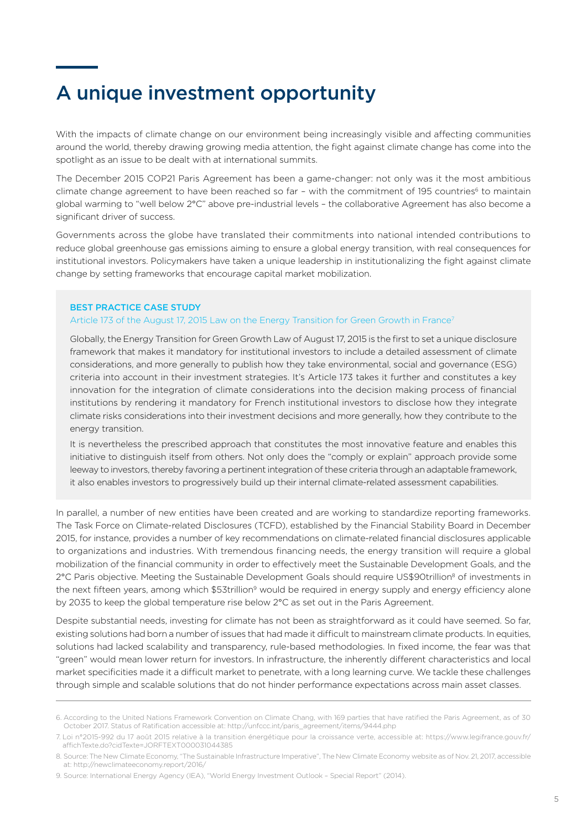# A unique investment opportunity

With the impacts of climate change on our environment being increasingly visible and affecting communities around the world, thereby drawing growing media attention, the fight against climate change has come into the spotlight as an issue to be dealt with at international summits.

The December 2015 COP21 Paris Agreement has been a game-changer: not only was it the most ambitious climate change agreement to have been reached so far - with the commitment of 195 countries<sup>6</sup> to maintain global warming to "well below 2°C" above pre-industrial levels – the collaborative Agreement has also become a significant driver of success.

Governments across the globe have translated their commitments into national intended contributions to reduce global greenhouse gas emissions aiming to ensure a global energy transition, with real consequences for institutional investors. Policymakers have taken a unique leadership in institutionalizing the fight against climate change by setting frameworks that encourage capital market mobilization.

#### BEST PRACTICE CASE STUDY

#### Article 173 of the August 17, 2015 Law on the Energy Transition for Green Growth in France<sup>7</sup>

Globally, the Energy Transition for Green Growth Law of August 17, 2015 is the first to set a unique disclosure framework that makes it mandatory for institutional investors to include a detailed assessment of climate considerations, and more generally to publish how they take environmental, social and governance (ESG) criteria into account in their investment strategies. It's Article 173 takes it further and constitutes a key innovation for the integration of climate considerations into the decision making process of financial institutions by rendering it mandatory for French institutional investors to disclose how they integrate climate risks considerations into their investment decisions and more generally, how they contribute to the energy transition.

It is nevertheless the prescribed approach that constitutes the most innovative feature and enables this initiative to distinguish itself from others. Not only does the "comply or explain" approach provide some leeway to investors, thereby favoring a pertinent integration of these criteria through an adaptable framework, it also enables investors to progressively build up their internal climate-related assessment capabilities.

In parallel, a number of new entities have been created and are working to standardize reporting frameworks. The Task Force on Climate-related Disclosures (TCFD), established by the Financial Stability Board in December 2015, for instance, provides a number of key recommendations on climate-related financial disclosures applicable to organizations and industries. With tremendous financing needs, the energy transition will require a global mobilization of the financial community in order to effectively meet the Sustainable Development Goals, and the 2°C Paris objective. Meeting the Sustainable Development Goals should require US\$90trillion<sup>8</sup> of investments in the next fifteen years, among which \$53trillion<sup>9</sup> would be required in energy supply and energy efficiency alone by 2035 to keep the global temperature rise below 2°C as set out in the Paris Agreement.

Despite substantial needs, investing for climate has not been as straightforward as it could have seemed. So far, existing solutions had born a number of issues that had made it difficult to mainstream climate products. In equities, solutions had lacked scalability and transparency, rule-based methodologies. In fixed income, the fear was that "green" would mean lower return for investors. In infrastructure, the inherently different characteristics and local market specificities made it a difficult market to penetrate, with a long learning curve. We tackle these challenges through simple and scalable solutions that do not hinder performance expectations across main asset classes.

<sup>6.</sup> According to the United Nations Framework Convention on Climate Chang, with 169 parties that have ratified the Paris Agreement, as of 30 October 2017. Status of Ratification accessible at: http://unfccc.int/paris\_agreement/items/9444.php

<sup>7.</sup> Loi n°2015-992 du 17 août 2015 relative à la transition énergétique pour la croissance verte, accessible at: https://www.legifrance.gouv.fr/ affichTexte.do?cidTexte=JORFTEXT000031044385

<sup>8.</sup> Source: The New Climate Economy, "The Sustainable Infrastructure Imperative", The New Climate Economy website as of Nov. 21, 2017, accessible at: http://newclimateeconomy.report/2016/

<sup>9.</sup> Source: International Energy Agency (IEA), "World Energy Investment Outlook – Special Report" (2014).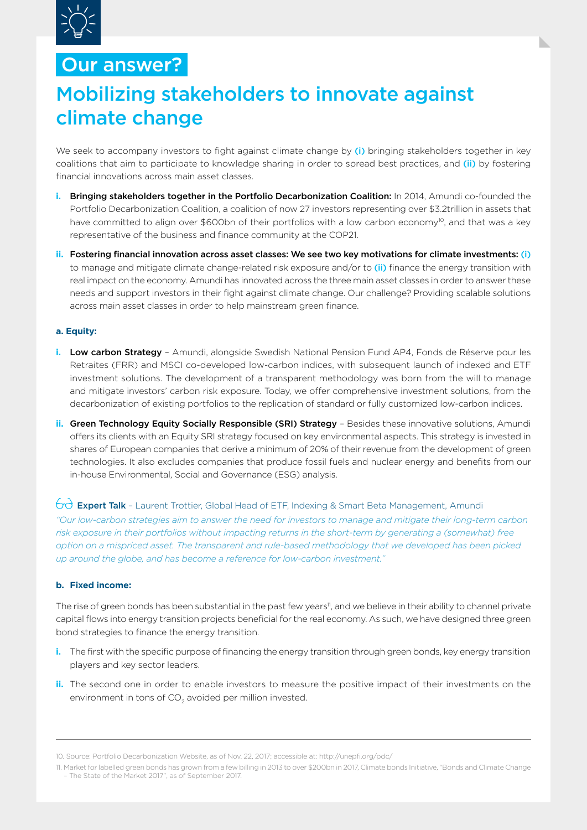

### Our answer?

# Mobilizing stakeholders to innovate against climate change

We seek to accompany investors to fight against climate change by (i) bringing stakeholders together in key coalitions that aim to participate to knowledge sharing in order to spread best practices, and (ii) by fostering financial innovations across main asset classes.

- **i.** Bringing stakeholders together in the Portfolio Decarbonization Coalition: In 2014, Amundi co-founded the Portfolio Decarbonization Coalition, a coalition of now 27 investors representing over \$3.2trillion in assets that have committed to align over \$600bn of their portfolios with a low carbon economy<sup>10</sup>, and that was a key representative of the business and finance community at the COP21.
- **ii.** Fostering financial innovation across asset classes: We see two key motivations for climate investments: (i) to manage and mitigate climate change-related risk exposure and/or to (ii) finance the energy transition with real impact on the economy. Amundi has innovated across the three main asset classes in order to answer these needs and support investors in their fight against climate change. Our challenge? Providing scalable solutions across main asset classes in order to help mainstream green finance.

#### **a. Equity:**

- **i. Low carbon Strategy** Amundi, alongside Swedish National Pension Fund AP4, Fonds de Réserve pour les Retraites (FRR) and MSCI co-developed low-carbon indices, with subsequent launch of indexed and ETF investment solutions. The development of a transparent methodology was born from the will to manage and mitigate investors' carbon risk exposure. Today, we offer comprehensive investment solutions, from the decarbonization of existing portfolios to the replication of standard or fully customized low-carbon indices.
- **ii. Green Technology Equity Socially Responsible (SRI) Strategy** Besides these innovative solutions, Amundi offers its clients with an Equity SRI strategy focused on key environmental aspects. This strategy is invested in shares of European companies that derive a minimum of 20% of their revenue from the development of green technologies. It also excludes companies that produce fossil fuels and nuclear energy and benefits from our in-house Environmental, Social and Governance (ESG) analysis.

#### $\overleftrightarrow{\text{C}}$  Expert Talk - Laurent Trottier, Global Head of ETF, Indexing & Smart Beta Management, Amundi

*"Our low-carbon strategies aim to answer the need for investors to manage and mitigate their long-term carbon risk exposure in their portfolios without impacting returns in the short-term by generating a (somewhat) free option on a mispriced asset. The transparent and rule-based methodology that we developed has been picked up around the globe, and has become a reference for low-carbon investment."*

#### **b. Fixed income:**

The rise of green bonds has been substantial in the past few years<sup>11</sup>, and we believe in their ability to channel private capital flows into energy transition projects beneficial for the real economy. As such, we have designed three green bond strategies to finance the energy transition.

- **i.** The first with the specific purpose of financing the energy transition through green bonds, key energy transition players and key sector leaders.
- **ii.** The second one in order to enable investors to measure the positive impact of their investments on the environment in tons of CO<sub>2</sub> avoided per million invested.

10. Source: Portfolio Decarbonization Website, as of Nov. 22, 2017; accessible at: http://unepfi.org/pdc/

<sup>11.</sup> Market for labelled green bonds has grown from a few billing in 2013 to over \$200bn in 2017, Climate bonds Initiative, "Bonds and Climate Change – The State of the Market 2017", as of September 2017.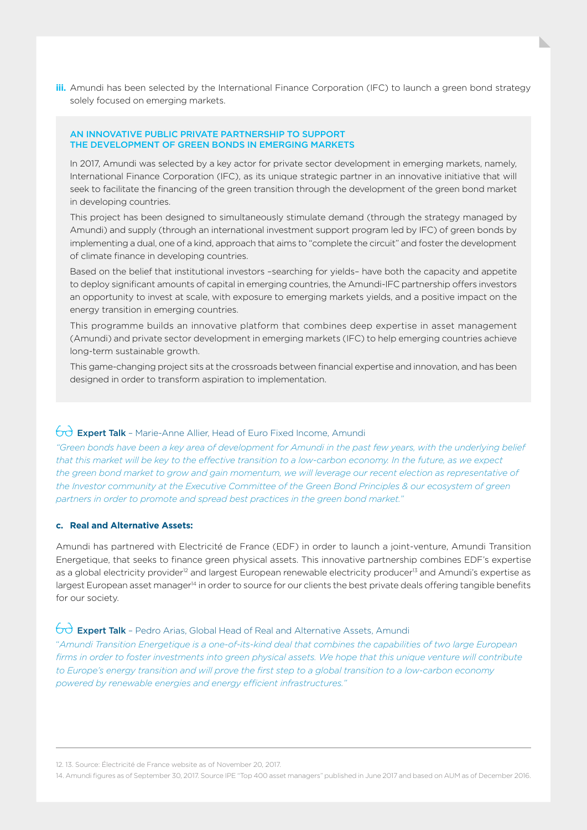**iii.** Amundi has been selected by the International Finance Corporation (IFC) to launch a green bond strategy solely focused on emerging markets.

#### AN INNOVATIVE PUBLIC PRIVATE PARTNERSHIP TO SUPPORT THE DEVELOPMENT OF GREEN BONDS IN EMERGING MARKETS

In 2017, Amundi was selected by a key actor for private sector development in emerging markets, namely, International Finance Corporation (IFC), as its unique strategic partner in an innovative initiative that will seek to facilitate the financing of the green transition through the development of the green bond market in developing countries.

This project has been designed to simultaneously stimulate demand (through the strategy managed by Amundi) and supply (through an international investment support program led by IFC) of green bonds by implementing a dual, one of a kind, approach that aims to "complete the circuit" and foster the development of climate finance in developing countries.

Based on the belief that institutional investors –searching for yields– have both the capacity and appetite to deploy significant amounts of capital in emerging countries, the Amundi-IFC partnership offers investors an opportunity to invest at scale, with exposure to emerging markets yields, and a positive impact on the energy transition in emerging countries.

This programme builds an innovative platform that combines deep expertise in asset management (Amundi) and private sector development in emerging markets (IFC) to help emerging countries achieve long-term sustainable growth.

This game-changing project sits at the crossroads between financial expertise and innovation, and has been designed in order to transform aspiration to implementation.

#### $\Box$  **Expert Talk** - Marie-Anne Allier, Head of Euro Fixed Income, Amundi

*"Green bonds have been a key area of development for Amundi in the past few years, with the underlying belief that this market will be key to the effective transition to a low-carbon economy. In the future, as we expect the green bond market to grow and gain momentum, we will leverage our recent election as representative of the Investor community at the Executive Committee of the Green Bond Principles & our ecosystem of green partners in order to promote and spread best practices in the green bond market."*

#### **c. Real and Alternative Assets:**

Amundi has partnered with Electricité de France (EDF) in order to launch a joint-venture, Amundi Transition Energetique, that seeks to finance green physical assets. This innovative partnership combines EDF's expertise as a global electricity provider<sup>12</sup> and largest European renewable electricity producer<sup>13</sup> and Amundi's expertise as largest European asset manager<sup>14</sup> in order to source for our clients the best private deals offering tangible benefits for our society.

#### $\overleftrightarrow{\text{C}}$  **Expert Talk** - Pedro Arias, Global Head of Real and Alternative Assets, Amundi

"*Amundi Transition Energetique is a one-of-its-kind deal that combines the capabilities of two large European firms in order to foster investments into green physical assets. We hope that this unique venture will contribute to Europe's energy transition and will prove the first step to a global transition to a low-carbon economy powered by renewable energies and energy efficient infrastructures."*

12. 13. Source: Électricité de France website as of November 20, 2017.

14. Amundi figures as of September 30, 2017. Source IPE "Top 400 asset managers" published in June 2017 and based on AUM as of December 2016.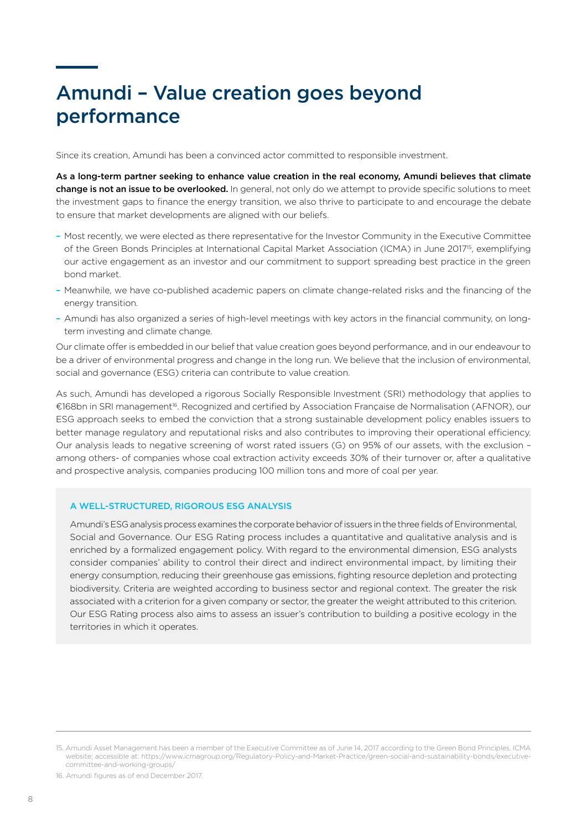# Amundi – Value creation goes beyond performance

Since its creation, Amundi has been a convinced actor committed to responsible investment.

As a long-term partner seeking to enhance value creation in the real economy, Amundi believes that climate change is not an issue to be overlooked. In general, not only do we attempt to provide specific solutions to meet the investment gaps to finance the energy transition, we also thrive to participate to and encourage the debate to ensure that market developments are aligned with our beliefs.

- Most recently, we were elected as there representative for the Investor Community in the Executive Committee of the Green Bonds Principles at International Capital Market Association (ICMA) in June 2017<sup>15</sup>, exemplifying our active engagement as an investor and our commitment to support spreading best practice in the green bond market.
- Meanwhile, we have co-published academic papers on climate change-related risks and the financing of the energy transition.
- Amundi has also organized a series of high-level meetings with key actors in the financial community, on longterm investing and climate change.

Our climate offer is embedded in our belief that value creation goes beyond performance, and in our endeavour to be a driver of environmental progress and change in the long run. We believe that the inclusion of environmental, social and governance (ESG) criteria can contribute to value creation.

As such, Amundi has developed a rigorous Socially Responsible Investment (SRI) methodology that applies to €168bn in SRI management16. Recognized and certified by Association Française de Normalisation (AFNOR), our ESG approach seeks to embed the conviction that a strong sustainable development policy enables issuers to better manage regulatory and reputational risks and also contributes to improving their operational efficiency. Our analysis leads to negative screening of worst rated issuers (G) on 95% of our assets, with the exclusion – among others- of companies whose coal extraction activity exceeds 30% of their turnover or, after a qualitative and prospective analysis, companies producing 100 million tons and more of coal per year.

#### A WELL-STRUCTURED, RIGOROUS ESG ANALYSIS

Amundi's ESG analysis process examines the corporate behavior of issuers in the three fields of Environmental, Social and Governance. Our ESG Rating process includes a quantitative and qualitative analysis and is enriched by a formalized engagement policy. With regard to the environmental dimension, ESG analysts consider companies' ability to control their direct and indirect environmental impact, by limiting their energy consumption, reducing their greenhouse gas emissions, fighting resource depletion and protecting biodiversity. Criteria are weighted according to business sector and regional context. The greater the risk associated with a criterion for a given company or sector, the greater the weight attributed to this criterion. Our ESG Rating process also aims to assess an issuer's contribution to building a positive ecology in the territories in which it operates.

16. Amundi figures as of end December 2017.

<sup>15.</sup> Amundi Asset Management has been a member of the Executive Committee as of June 14, 2017 according to the Green Bond Principles, ICMA website; accessible at: https://www.icmagroup.org/Regulatory-Policy-and-Market-Practice/green-social-and-sustainability-bonds/executivecommittee-and-working-groups/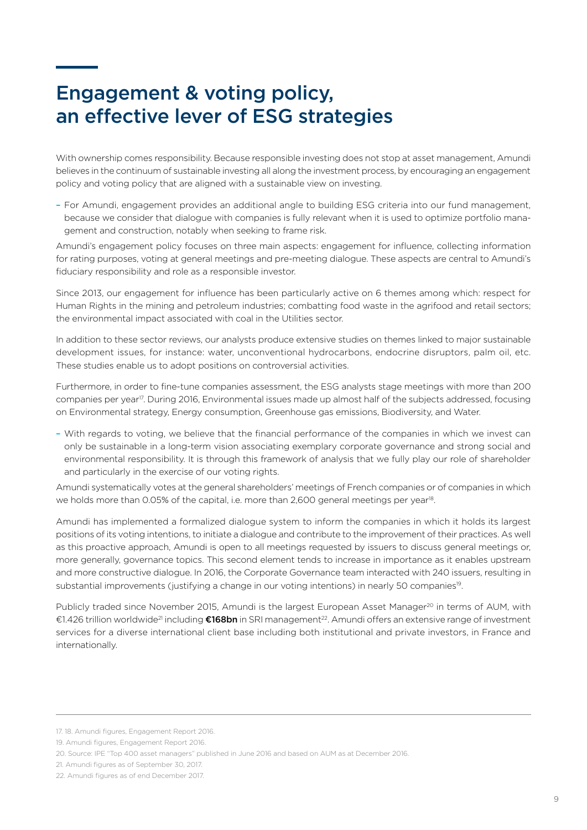# Engagement & voting policy, an effective lever of ESG strategies

With ownership comes responsibility. Because responsible investing does not stop at asset management, Amundi believes in the continuum of sustainable investing all along the investment process, by encouraging an engagement policy and voting policy that are aligned with a sustainable view on investing.

– For Amundi, engagement provides an additional angle to building ESG criteria into our fund management, because we consider that dialogue with companies is fully relevant when it is used to optimize portfolio management and construction, notably when seeking to frame risk.

Amundi's engagement policy focuses on three main aspects: engagement for influence, collecting information for rating purposes, voting at general meetings and pre-meeting dialogue. These aspects are central to Amundi's fiduciary responsibility and role as a responsible investor.

Since 2013, our engagement for influence has been particularly active on 6 themes among which: respect for Human Rights in the mining and petroleum industries; combatting food waste in the agrifood and retail sectors; the environmental impact associated with coal in the Utilities sector.

In addition to these sector reviews, our analysts produce extensive studies on themes linked to major sustainable development issues, for instance: water, unconventional hydrocarbons, endocrine disruptors, palm oil, etc. These studies enable us to adopt positions on controversial activities.

Furthermore, in order to fine-tune companies assessment, the ESG analysts stage meetings with more than 200 companies per year<sup>17</sup>. During 2016, Environmental issues made up almost half of the subjects addressed, focusing on Environmental strategy, Energy consumption, Greenhouse gas emissions, Biodiversity, and Water.

– With regards to voting, we believe that the financial performance of the companies in which we invest can only be sustainable in a long-term vision associating exemplary corporate governance and strong social and environmental responsibility. It is through this framework of analysis that we fully play our role of shareholder and particularly in the exercise of our voting rights.

Amundi systematically votes at the general shareholders' meetings of French companies or of companies in which we holds more than 0.05% of the capital, i.e. more than 2,600 general meetings per year<sup>18</sup>.

Amundi has implemented a formalized dialogue system to inform the companies in which it holds its largest positions of its voting intentions, to initiate a dialogue and contribute to the improvement of their practices. As well as this proactive approach, Amundi is open to all meetings requested by issuers to discuss general meetings or, more generally, governance topics. This second element tends to increase in importance as it enables upstream and more constructive dialogue. In 2016, the Corporate Governance team interacted with 240 issuers, resulting in substantial improvements (justifying a change in our voting intentions) in nearly 50 companies<sup>19</sup>.

Publicly traded since November 2015, Amundi is the largest European Asset Manager<sup>20</sup> in terms of AUM, with €1.426 trillion worldwide21 including €168bn in SRI management22. Amundi offers an extensive range of investment services for a diverse international client base including both institutional and private investors, in France and internationally.

<sup>17. 18.</sup> Amundi figures, Engagement Report 2016.

<sup>19.</sup> Amundi figures, Engagement Report 2016.

<sup>20.</sup> Source: IPE "Top 400 asset managers" published in June 2016 and based on AUM as at December 2016.

<sup>21.</sup> Amundi figures as of September 30, 2017.

<sup>22.</sup> Amundi figures as of end December 2017.